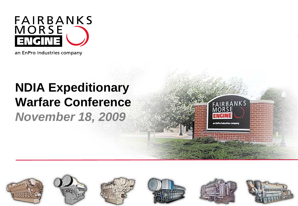

an EnPro Industries company

### **NDIA Expeditionary Warfare Conference** *November 18, 2009*



FAIRBANK S

an Enfino Industries company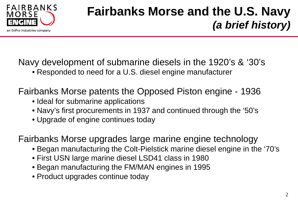

### **Fairbanks Morse and the U.S. Navy**  *(a brief history)*

Navy development of submarine diesels in the 1920's & '30's

• Responded to need for a U.S. diesel engine manufacturer

Fairbanks Morse patents the Opposed Piston engine - 1936

- Ideal for submarine applications
- Navy's first procurements in 1937 and continued through the '50's
- Upgrade of engine continues today

Fairbanks Morse upgrades large marine engine technology

- Began manufacturing the Colt-Pielstick marine diesel engine in the '70's
- First USN large marine diesel LSD41 class in 1980
- Began manufacturing the FM/MAN engines in 1995
- Product upgrades continue today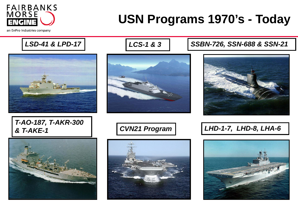

### **USN Programs 1970's - Today**

an EnPro Industries company

LSD-41 & LPD-17 | **IDDELLIES-1 & 3** | SSBN-726, SSN-688 & SSN-21







#### *T-AO-187, T-AKR-300 & T-AKE-1 CVN21 Program LHD-1-7, LHD-8, LHA-6*





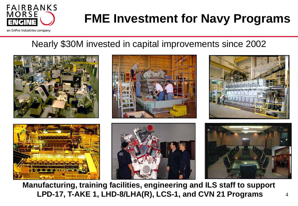

# **FME Investment for Navy Programs**

an EnPro Industries company

### Nearly \$30M invested in capital improvements since 2002



**Manufacturing, training facilities, engineering and ILS staff to support LPD-17, T-AKE 1, LHD-8/LHA(R), LCS-1, and CVN 21 Programs**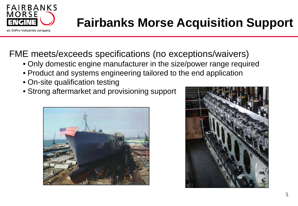

### **Fairbanks Morse Acquisition Support**

FME meets/exceeds specifications (no exceptions/waivers)

- Only domestic engine manufacturer in the size/power range required
- Product and systems engineering tailored to the end application
- On-site qualification testing
- Strong aftermarket and provisioning support



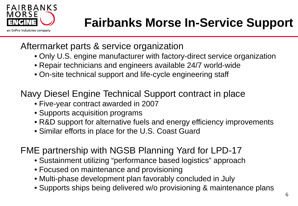

# **Fairbanks Morse In-Service Support**

#### Aftermarket parts & service organization

- Only U.S. engine manufacturer with factory-direct service organization
- Repair technicians and engineers available 24/7 world-wide
- On-site technical support and life-cycle engineering staff

Navy Diesel Engine Technical Support contract in place

- Five-year contract awarded in 2007
- Supports acquisition programs
- R&D support for alternative fuels and energy efficiency improvements
- Similar efforts in place for the U.S. Coast Guard

FME partnership with NGSB Planning Yard for LPD-17

- Sustainment utilizing "performance based logistics" approach
- Focused on maintenance and provisioning
- Multi-phase development plan favorably concluded in July
- Supports ships being delivered w/o provisioning & maintenance plans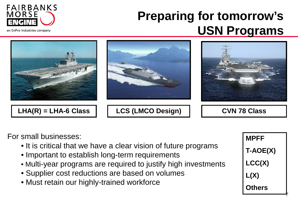

an EnPro Industries company

### **Preparing for tomorrow's USN Programs**



For small businesses:

- It is critical that we have a clear vision of future programs
- Important to establish long-term requirements
- Multi-year programs are required to justify high investments
- Supplier cost reductions are based on volumes
- Must retain our highly-trained workforce



7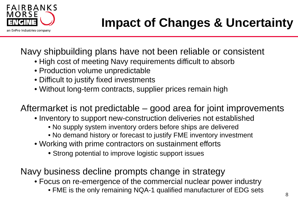

Navy shipbuilding plans have not been reliable or consistent

- High cost of meeting Navy requirements difficult to absorb
- Production volume unpredictable
- Difficult to justify fixed investments
- Without long-term contracts, supplier prices remain high

Aftermarket is not predictable – good area for joint improvements

- Inventory to support new-construction deliveries not established
	- No supply system inventory orders before ships are delivered
	- No demand history or forecast to justify FME inventory investment
- Working with prime contractors on sustainment efforts
	- Strong potential to improve logistic support issues

Navy business decline prompts change in strategy

• Focus on re-emergence of the commercial nuclear power industry

• FME is the only remaining NQA-1 qualified manufacturer of EDG sets